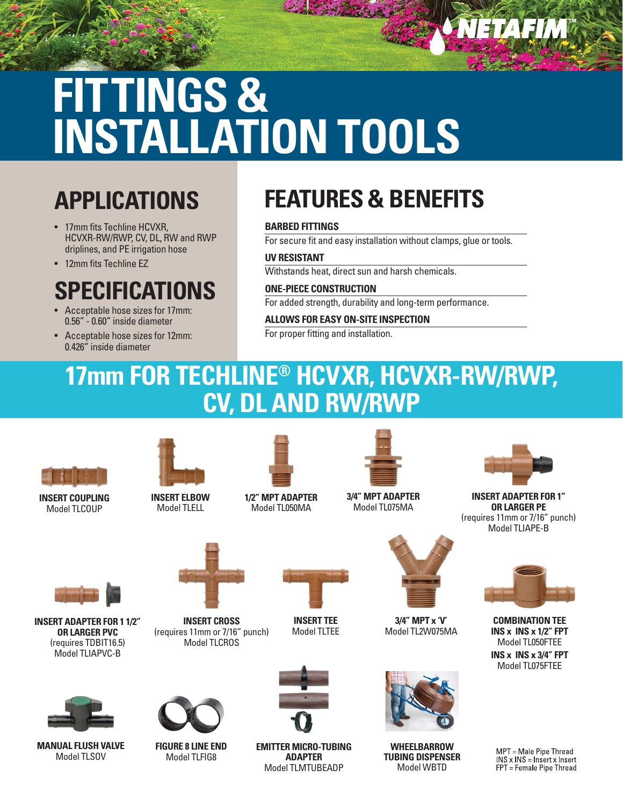# **FITTINGS & INSTALLATION TOOLS**

### **APPLICATIONS**

- 17mm fits Techline HCVXR. HCVXR-RW/RWP, CV, DL, RW and RWP driplines, and PE irrigation hose
- 12mm fits Techline EZ

### **SPECIFICATIONS**

- Acceptable hose sizes for 17mm: 0.56" - 0.60" inside diameter
- Acceptable hose sizes for 12mm: 0.426" inside diameter

## **FEATURES & BENEFITS**

#### **BARBED FITTINGS**

For secure fit and easy installation without clamps, glue or tools.

#### **UV RESISTANT**

Withstands heat, direct sun and harsh chemicals.

### **ONE-PIECE CONSTRUCTION**

For added strength, durability and long-term performance.

#### **ALLOWS FOR EASY ON-SITE INSPECTION**

For proper fitting and installation.

### **17mm FOR TECHLINE® HCVXR, HCVXR-RW/RWP, CV, DL AND RW/RWP**



**INSERT COUPLING** Model TLCOUP



**INSERT ELBOW** Model TLELL



**1/2" MPT ADAPTER** Model TL050MA



**3/4" MPT ADAPTER** Model TL075MA



NETAFIM

**INSERT ADAPTER FOR 1" OR LARGER PE** (requires 11mm or 7/16" punch) Model TLIAPE-B



**COMBINATION TEE INS x INS x 1/2" FPT** Model TL050FTEE **INS x INS x 3/4" FPT** Model TL075FTEE

MPT = Male Pipe Thread INS x INS = Insert x Insert FPT = Female Pipe Thread



**INSERT ADAPTER FOR 1 1/2" OR LARGER PVC** (requires TDBIT16.5) Model TLIAPVC-B



**MANUAL FLUSH VALVE** Model TLSOV



**INSERT CROSS**

Model TLCROS

**FIGURE 8 LINE END** Model TLFIG8



**INSERT TEE** Model TLTEE



**EMITTER MICRO-TUBING ADAPTER** Model TLMTUBEADP



**3/4" MPT x 'V'** Model TL2W075MA



**WHEELBARROW TUBING DISPENSER** Model WBTD